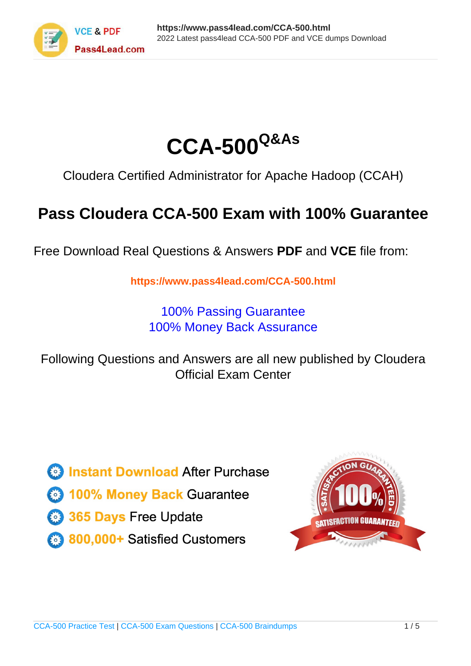



Cloudera Certified Administrator for Apache Hadoop (CCAH)

# **Pass Cloudera CCA-500 Exam with 100% Guarantee**

Free Download Real Questions & Answers **PDF** and **VCE** file from:

**https://www.pass4lead.com/CCA-500.html**

100% Passing Guarantee 100% Money Back Assurance

Following Questions and Answers are all new published by Cloudera Official Exam Center

**C** Instant Download After Purchase

**83 100% Money Back Guarantee** 

- 365 Days Free Update
- 800,000+ Satisfied Customers

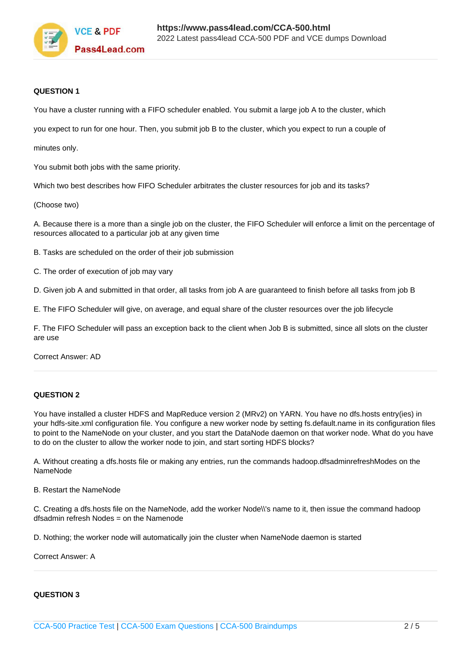

# **QUESTION 1**

You have a cluster running with a FIFO scheduler enabled. You submit a large job A to the cluster, which

you expect to run for one hour. Then, you submit job B to the cluster, which you expect to run a couple of

minutes only.

You submit both jobs with the same priority.

Which two best describes how FIFO Scheduler arbitrates the cluster resources for job and its tasks?

(Choose two)

A. Because there is a more than a single job on the cluster, the FIFO Scheduler will enforce a limit on the percentage of resources allocated to a particular job at any given time

B. Tasks are scheduled on the order of their job submission

C. The order of execution of job may vary

D. Given job A and submitted in that order, all tasks from job A are guaranteed to finish before all tasks from job B

E. The FIFO Scheduler will give, on average, and equal share of the cluster resources over the job lifecycle

F. The FIFO Scheduler will pass an exception back to the client when Job B is submitted, since all slots on the cluster are use

Correct Answer: AD

### **QUESTION 2**

You have installed a cluster HDFS and MapReduce version 2 (MRv2) on YARN. You have no dfs.hosts entry(ies) in your hdfs-site.xml configuration file. You configure a new worker node by setting fs.default.name in its configuration files to point to the NameNode on your cluster, and you start the DataNode daemon on that worker node. What do you have to do on the cluster to allow the worker node to join, and start sorting HDFS blocks?

A. Without creating a dfs.hosts file or making any entries, run the commands hadoop.dfsadminrefreshModes on the NameNode

B. Restart the NameNode

C. Creating a dfs.hosts file on the NameNode, add the worker Node\\'s name to it, then issue the command hadoop dfsadmin refresh Nodes = on the Namenode

D. Nothing; the worker node will automatically join the cluster when NameNode daemon is started

Correct Answer: A

### **QUESTION 3**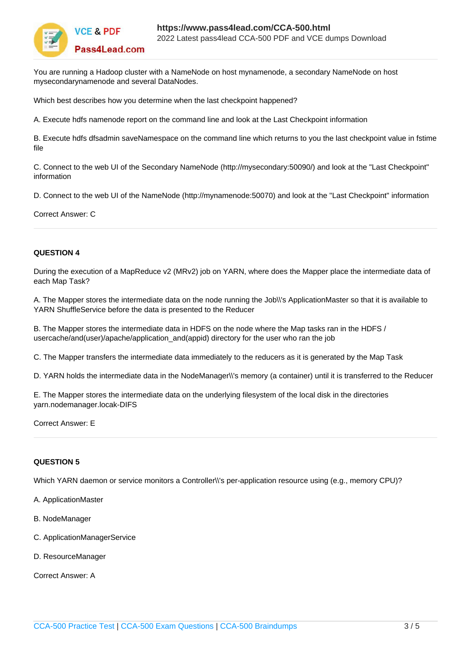

You are running a Hadoop cluster with a NameNode on host mynamenode, a secondary NameNode on host mysecondarynamenode and several DataNodes.

Which best describes how you determine when the last checkpoint happened?

A. Execute hdfs namenode report on the command line and look at the Last Checkpoint information

B. Execute hdfs dfsadmin saveNamespace on the command line which returns to you the last checkpoint value in fstime file

C. Connect to the web UI of the Secondary NameNode (http://mysecondary:50090/) and look at the "Last Checkpoint" information

D. Connect to the web UI of the NameNode (http://mynamenode:50070) and look at the "Last Checkpoint" information

Correct Answer: C

# **QUESTION 4**

During the execution of a MapReduce v2 (MRv2) job on YARN, where does the Mapper place the intermediate data of each Map Task?

A. The Mapper stores the intermediate data on the node running the Job\\'s ApplicationMaster so that it is available to YARN ShuffleService before the data is presented to the Reducer

B. The Mapper stores the intermediate data in HDFS on the node where the Map tasks ran in the HDFS / usercache/and(user)/apache/application\_and(appid) directory for the user who ran the job

C. The Mapper transfers the intermediate data immediately to the reducers as it is generated by the Map Task

D. YARN holds the intermediate data in the NodeManager\\'s memory (a container) until it is transferred to the Reducer

E. The Mapper stores the intermediate data on the underlying filesystem of the local disk in the directories yarn.nodemanager.locak-DIFS

Correct Answer: E

### **QUESTION 5**

Which YARN daemon or service monitors a Controller\\'s per-application resource using (e.g., memory CPU)?

- A. ApplicationMaster
- B. NodeManager
- C. ApplicationManagerService
- D. ResourceManager

Correct Answer: A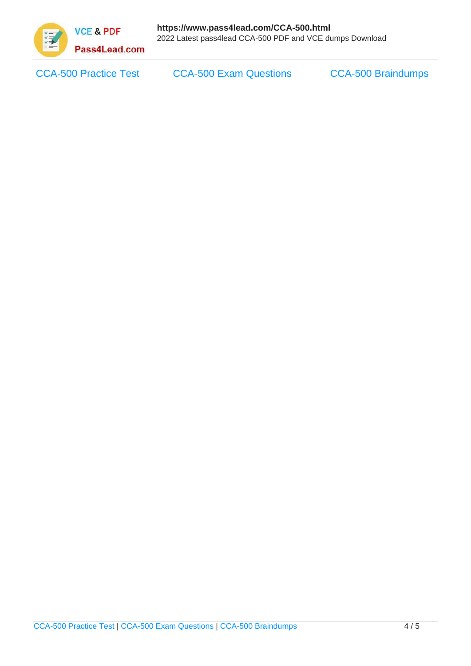

[CCA-500 Practice Test](https://www.pass4lead.com/CCA-500.html) [CCA-500 Exam Questions](https://www.pass4lead.com/CCA-500.html) [CCA-500 Braindumps](https://www.pass4lead.com/CCA-500.html)